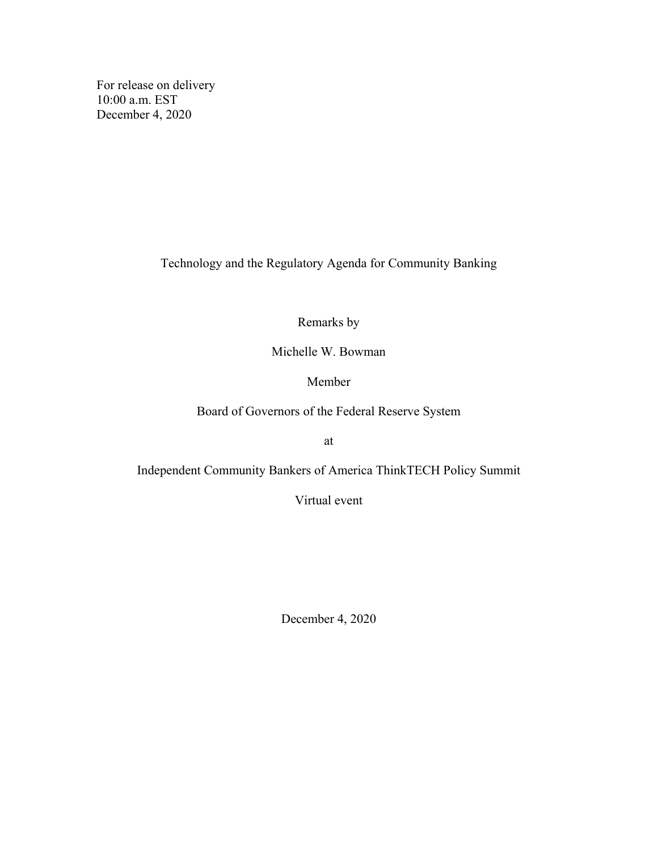For release on delivery 10:00 a.m. EST December 4, 2020

Technology and the Regulatory Agenda for Community Banking

Remarks by

Michelle W. Bowman

Member

Board of Governors of the Federal Reserve System

at

Independent Community Bankers of America ThinkTECH Policy Summit

Virtual event

December 4, 2020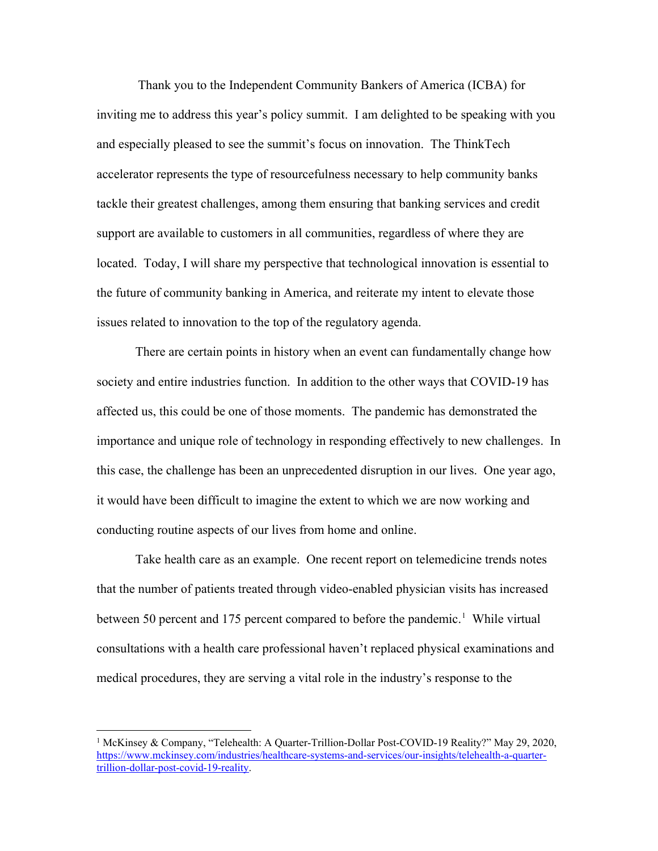Thank you to the Independent Community Bankers of America (ICBA) for inviting me to address this year's policy summit. I am delighted to be speaking with you and especially pleased to see the summit's focus on innovation. The ThinkTech accelerator represents the type of resourcefulness necessary to help community banks tackle their greatest challenges, among them ensuring that banking services and credit support are available to customers in all communities, regardless of where they are located. Today, I will share my perspective that technological innovation is essential to the future of community banking in America, and reiterate my intent to elevate those issues related to innovation to the top of the regulatory agenda.

There are certain points in history when an event can fundamentally change how society and entire industries function. In addition to the other ways that COVID-19 has affected us, this could be one of those moments. The pandemic has demonstrated the importance and unique role of technology in responding effectively to new challenges. In this case, the challenge has been an unprecedented disruption in our lives. One year ago, it would have been difficult to imagine the extent to which we are now working and conducting routine aspects of our lives from home and online.

Take health care as an example. One recent report on telemedicine trends notes that the number of patients treated through video-enabled physician visits has increased between 50 percent and [1](#page-1-0)75 percent compared to before the pandemic.<sup>1</sup> While virtual consultations with a health care professional haven't replaced physical examinations and medical procedures, they are serving a vital role in the industry's response to the

<span id="page-1-0"></span> <sup>1</sup> McKinsey & Company, "Telehealth: A Quarter-Trillion-Dollar Post-COVID-19 Reality?" May 29, 2020, [https://www.mckinsey.com/industries/healthcare-systems-and-services/our-insights/telehealth-a-quarter](https://www.mckinsey.com/industries/healthcare-systems-and-services/our-insights/telehealth-a-quarter-trillion-dollar-post-covid-19-reality)[trillion-dollar-post-covid-19-reality.](https://www.mckinsey.com/industries/healthcare-systems-and-services/our-insights/telehealth-a-quarter-trillion-dollar-post-covid-19-reality)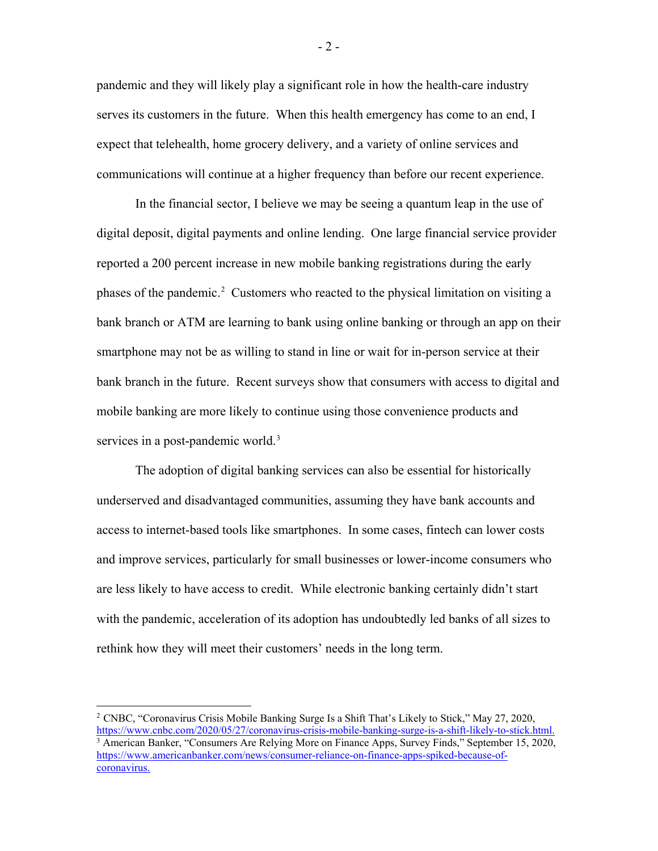pandemic and they will likely play a significant role in how the health-care industry serves its customers in the future. When this health emergency has come to an end, I expect that telehealth, home grocery delivery, and a variety of online services and communications will continue at a higher frequency than before our recent experience.

In the financial sector, I believe we may be seeing a quantum leap in the use of digital deposit, digital payments and online lending. One large financial service provider reported a 200 percent increase in new mobile banking registrations during the early phases of the pandemic.<sup>[2](#page-2-0)</sup> Customers who reacted to the physical limitation on visiting a bank branch or ATM are learning to bank using online banking or through an app on their smartphone may not be as willing to stand in line or wait for in-person service at their bank branch in the future. Recent surveys show that consumers with access to digital and mobile banking are more likely to continue using those convenience products and services in a post-pandemic world.<sup>[3](#page-2-1)</sup>

The adoption of digital banking services can also be essential for historically underserved and disadvantaged communities, assuming they have bank accounts and access to internet-based tools like smartphones. In some cases, fintech can lower costs and improve services, particularly for small businesses or lower-income consumers who are less likely to have access to credit. While electronic banking certainly didn't start with the pandemic, acceleration of its adoption has undoubtedly led banks of all sizes to rethink how they will meet their customers' needs in the long term.

- 2 -

<span id="page-2-1"></span><span id="page-2-0"></span> <sup>2</sup> CNBC, "Coronavirus Crisis Mobile Banking Surge Is a Shift That's Likely to Stick," May 27, 2020, [https://www.cnbc.com/2020/05/27/coronavirus-crisis-mobile-banking-surge-is-a-shift-likely-to-stick.html.](https://www.cnbc.com/2020/05/27/coronavirus-crisis-mobile-banking-surge-is-a-shift-likely-to-stick.html) <sup>3</sup> American Banker, "Consumers Are Relying More on Finance Apps, Survey Finds," September 15, 2020, [https://www.americanbanker.com/news/consumer-reliance-on-finance-apps-spiked-because-of](https://www.americanbanker.com/news/consumer-reliance-on-finance-apps-spiked-because-of-coronavirus)[coronavirus.](https://www.americanbanker.com/news/consumer-reliance-on-finance-apps-spiked-because-of-coronavirus)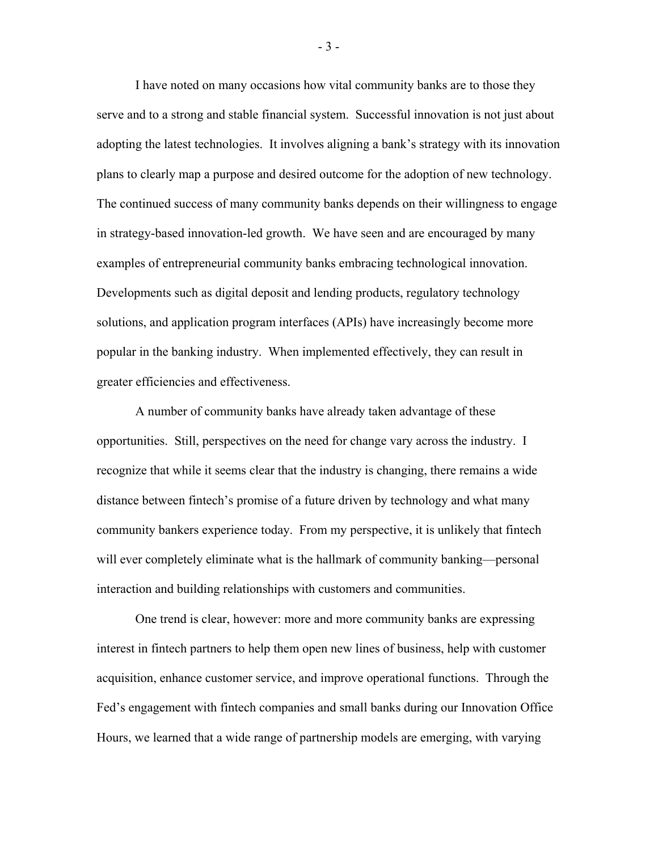I have noted on many occasions how vital community banks are to those they serve and to a strong and stable financial system. Successful innovation is not just about adopting the latest technologies. It involves aligning a bank's strategy with its innovation plans to clearly map a purpose and desired outcome for the adoption of new technology. The continued success of many community banks depends on their willingness to engage in strategy-based innovation-led growth. We have seen and are encouraged by many examples of entrepreneurial community banks embracing technological innovation. Developments such as digital deposit and lending products, regulatory technology solutions, and application program interfaces (APIs) have increasingly become more popular in the banking industry. When implemented effectively, they can result in greater efficiencies and effectiveness.

A number of community banks have already taken advantage of these opportunities. Still, perspectives on the need for change vary across the industry. I recognize that while it seems clear that the industry is changing, there remains a wide distance between fintech's promise of a future driven by technology and what many community bankers experience today. From my perspective, it is unlikely that fintech will ever completely eliminate what is the hallmark of community banking—personal interaction and building relationships with customers and communities.

One trend is clear, however: more and more community banks are expressing interest in fintech partners to help them open new lines of business, help with customer acquisition, enhance customer service, and improve operational functions. Through the Fed's engagement with fintech companies and small banks during our Innovation Office Hours, we learned that a wide range of partnership models are emerging, with varying

- 3 -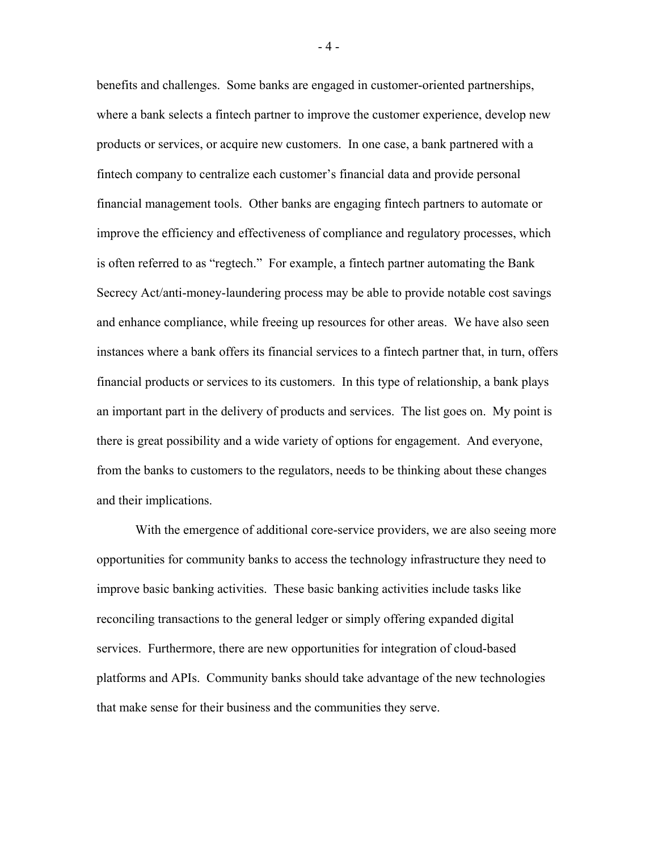benefits and challenges. Some banks are engaged in customer-oriented partnerships, where a bank selects a fintech partner to improve the customer experience, develop new products or services, or acquire new customers. In one case, a bank partnered with a fintech company to centralize each customer's financial data and provide personal financial management tools. Other banks are engaging fintech partners to automate or improve the efficiency and effectiveness of compliance and regulatory processes, which is often referred to as "regtech." For example, a fintech partner automating the Bank Secrecy Act/anti-money-laundering process may be able to provide notable cost savings and enhance compliance, while freeing up resources for other areas. We have also seen instances where a bank offers its financial services to a fintech partner that, in turn, offers financial products or services to its customers. In this type of relationship, a bank plays an important part in the delivery of products and services. The list goes on. My point is there is great possibility and a wide variety of options for engagement. And everyone, from the banks to customers to the regulators, needs to be thinking about these changes and their implications.

With the emergence of additional core-service providers, we are also seeing more opportunities for community banks to access the technology infrastructure they need to improve basic banking activities. These basic banking activities include tasks like reconciling transactions to the general ledger or simply offering expanded digital services. Furthermore, there are new opportunities for integration of cloud-based platforms and APIs. Community banks should take advantage of the new technologies that make sense for their business and the communities they serve.

- 4 -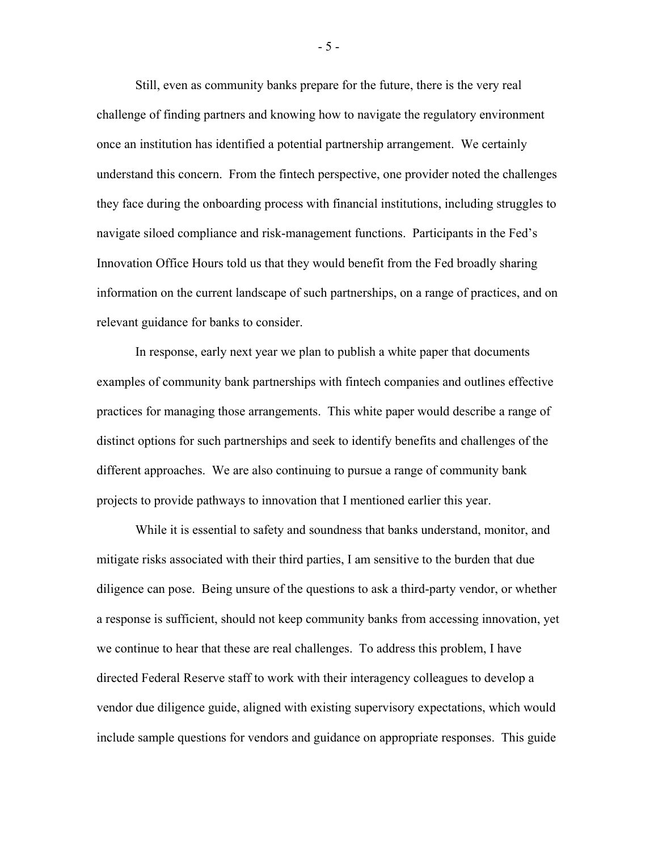Still, even as community banks prepare for the future, there is the very real challenge of finding partners and knowing how to navigate the regulatory environment once an institution has identified a potential partnership arrangement. We certainly understand this concern. From the fintech perspective, one provider noted the challenges they face during the onboarding process with financial institutions, including struggles to navigate siloed compliance and risk-management functions. Participants in the Fed's Innovation Office Hours told us that they would benefit from the Fed broadly sharing information on the current landscape of such partnerships, on a range of practices, and on relevant guidance for banks to consider.

In response, early next year we plan to publish a white paper that documents examples of community bank partnerships with fintech companies and outlines effective practices for managing those arrangements. This white paper would describe a range of distinct options for such partnerships and seek to identify benefits and challenges of the different approaches. We are also continuing to pursue a range of community bank projects to provide pathways to innovation that I mentioned earlier this year.

While it is essential to safety and soundness that banks understand, monitor, and mitigate risks associated with their third parties, I am sensitive to the burden that due diligence can pose. Being unsure of the questions to ask a third-party vendor, or whether a response is sufficient, should not keep community banks from accessing innovation, yet we continue to hear that these are real challenges. To address this problem, I have directed Federal Reserve staff to work with their interagency colleagues to develop a vendor due diligence guide, aligned with existing supervisory expectations, which would include sample questions for vendors and guidance on appropriate responses. This guide

- 5 -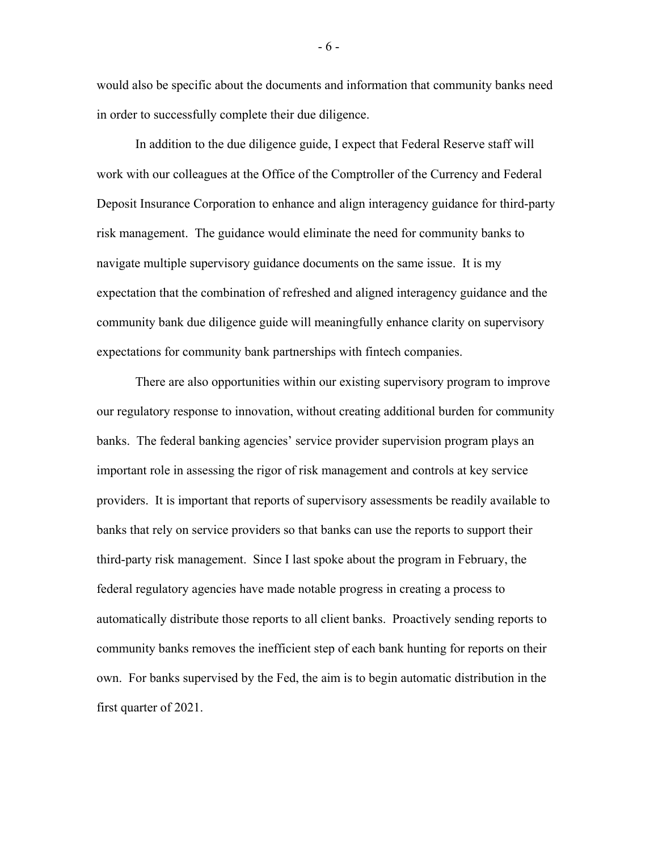would also be specific about the documents and information that community banks need in order to successfully complete their due diligence.

In addition to the due diligence guide, I expect that Federal Reserve staff will work with our colleagues at the Office of the Comptroller of the Currency and Federal Deposit Insurance Corporation to enhance and align interagency guidance for third-party risk management. The guidance would eliminate the need for community banks to navigate multiple supervisory guidance documents on the same issue. It is my expectation that the combination of refreshed and aligned interagency guidance and the community bank due diligence guide will meaningfully enhance clarity on supervisory expectations for community bank partnerships with fintech companies.

There are also opportunities within our existing supervisory program to improve our regulatory response to innovation, without creating additional burden for community banks. The federal banking agencies' service provider supervision program plays an important role in assessing the rigor of risk management and controls at key service providers. It is important that reports of supervisory assessments be readily available to banks that rely on service providers so that banks can use the reports to support their third-party risk management. Since I last spoke about the program in February, the federal regulatory agencies have made notable progress in creating a process to automatically distribute those reports to all client banks. Proactively sending reports to community banks removes the inefficient step of each bank hunting for reports on their own. For banks supervised by the Fed, the aim is to begin automatic distribution in the first quarter of 2021.

- 6 -